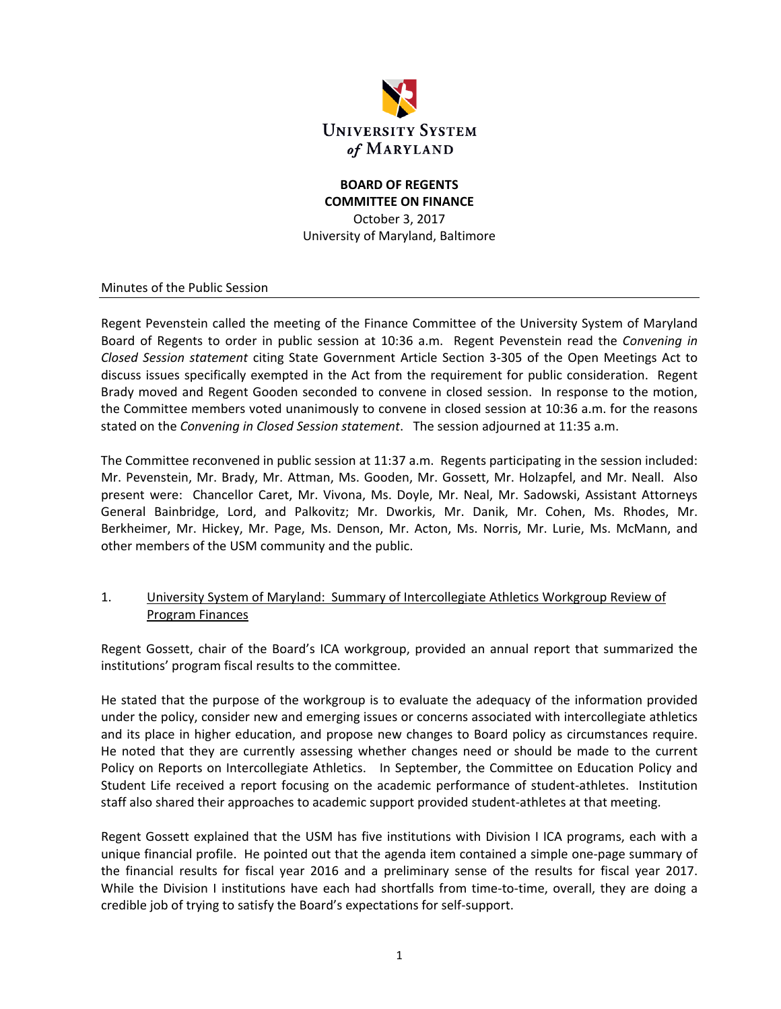

#### **BOARD OF REGENTS COMMITTEE ON FINANCE**

October 3, 2017 University of Maryland, Baltimore

Minutes of the Public Session

Regent Pevenstein called the meeting of the Finance Committee of the University System of Maryland Board of Regents to order in public session at 10:36 a.m. Regent Pevenstein read the *Convening in Closed Session statement* citing State Government Article Section 3‐305 of the Open Meetings Act to discuss issues specifically exempted in the Act from the requirement for public consideration. Regent Brady moved and Regent Gooden seconded to convene in closed session. In response to the motion, the Committee members voted unanimously to convene in closed session at 10:36 a.m. for the reasons stated on the *Convening in Closed Session statement*. The session adjourned at 11:35 a.m.

The Committee reconvened in public session at 11:37 a.m. Regents participating in the session included: Mr. Pevenstein, Mr. Brady, Mr. Attman, Ms. Gooden, Mr. Gossett, Mr. Holzapfel, and Mr. Neall. Also present were: Chancellor Caret, Mr. Vivona, Ms. Doyle, Mr. Neal, Mr. Sadowski, Assistant Attorneys General Bainbridge, Lord, and Palkovitz; Mr. Dworkis, Mr. Danik, Mr. Cohen, Ms. Rhodes, Mr. Berkheimer, Mr. Hickey, Mr. Page, Ms. Denson, Mr. Acton, Ms. Norris, Mr. Lurie, Ms. McMann, and other members of the USM community and the public.

## 1. University System of Maryland: Summary of Intercollegiate Athletics Workgroup Review of Program Finances

Regent Gossett, chair of the Board's ICA workgroup, provided an annual report that summarized the institutions' program fiscal results to the committee.

He stated that the purpose of the workgroup is to evaluate the adequacy of the information provided under the policy, consider new and emerging issues or concerns associated with intercollegiate athletics and its place in higher education, and propose new changes to Board policy as circumstances require. He noted that they are currently assessing whether changes need or should be made to the current Policy on Reports on Intercollegiate Athletics. In September, the Committee on Education Policy and Student Life received a report focusing on the academic performance of student‐athletes. Institution staff also shared their approaches to academic support provided student‐athletes at that meeting.

Regent Gossett explained that the USM has five institutions with Division I ICA programs, each with a unique financial profile. He pointed out that the agenda item contained a simple one‐page summary of the financial results for fiscal year 2016 and a preliminary sense of the results for fiscal year 2017. While the Division I institutions have each had shortfalls from time-to-time, overall, they are doing a credible job of trying to satisfy the Board's expectations for self‐support.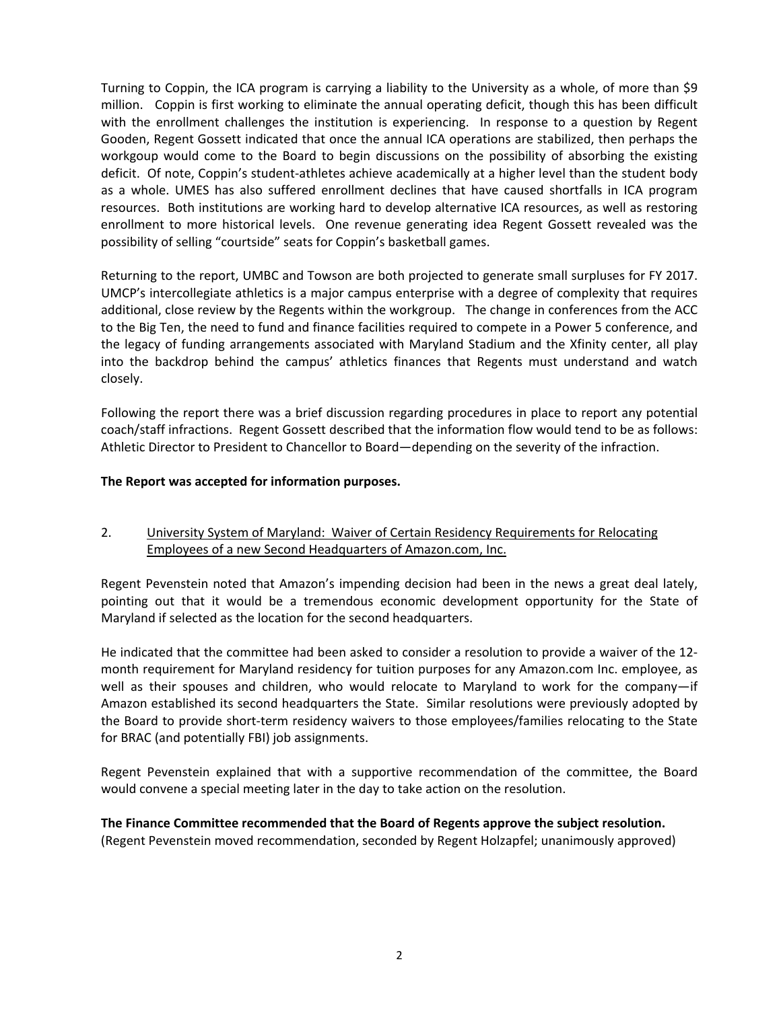Turning to Coppin, the ICA program is carrying a liability to the University as a whole, of more than \$9 million. Coppin is first working to eliminate the annual operating deficit, though this has been difficult with the enrollment challenges the institution is experiencing. In response to a question by Regent Gooden, Regent Gossett indicated that once the annual ICA operations are stabilized, then perhaps the workgoup would come to the Board to begin discussions on the possibility of absorbing the existing deficit. Of note, Coppin's student‐athletes achieve academically at a higher level than the student body as a whole. UMES has also suffered enrollment declines that have caused shortfalls in ICA program resources. Both institutions are working hard to develop alternative ICA resources, as well as restoring enrollment to more historical levels. One revenue generating idea Regent Gossett revealed was the possibility of selling "courtside" seats for Coppin's basketball games.

Returning to the report, UMBC and Towson are both projected to generate small surpluses for FY 2017. UMCP's intercollegiate athletics is a major campus enterprise with a degree of complexity that requires additional, close review by the Regents within the workgroup. The change in conferences from the ACC to the Big Ten, the need to fund and finance facilities required to compete in a Power 5 conference, and the legacy of funding arrangements associated with Maryland Stadium and the Xfinity center, all play into the backdrop behind the campus' athletics finances that Regents must understand and watch closely.

Following the report there was a brief discussion regarding procedures in place to report any potential coach/staff infractions. Regent Gossett described that the information flow would tend to be as follows: Athletic Director to President to Chancellor to Board—depending on the severity of the infraction.

#### **The Report was accepted for information purposes.**

## 2. University System of Maryland: Waiver of Certain Residency Requirements for Relocating Employees of a new Second Headquarters of Amazon.com, Inc.

Regent Pevenstein noted that Amazon's impending decision had been in the news a great deal lately, pointing out that it would be a tremendous economic development opportunity for the State of Maryland if selected as the location for the second headquarters.

He indicated that the committee had been asked to consider a resolution to provide a waiver of the 12‐ month requirement for Maryland residency for tuition purposes for any Amazon.com Inc. employee, as well as their spouses and children, who would relocate to Maryland to work for the company—if Amazon established its second headquarters the State. Similar resolutions were previously adopted by the Board to provide short-term residency waivers to those employees/families relocating to the State for BRAC (and potentially FBI) job assignments.

Regent Pevenstein explained that with a supportive recommendation of the committee, the Board would convene a special meeting later in the day to take action on the resolution.

**The Finance Committee recommended that the Board of Regents approve the subject resolution.** (Regent Pevenstein moved recommendation, seconded by Regent Holzapfel; unanimously approved)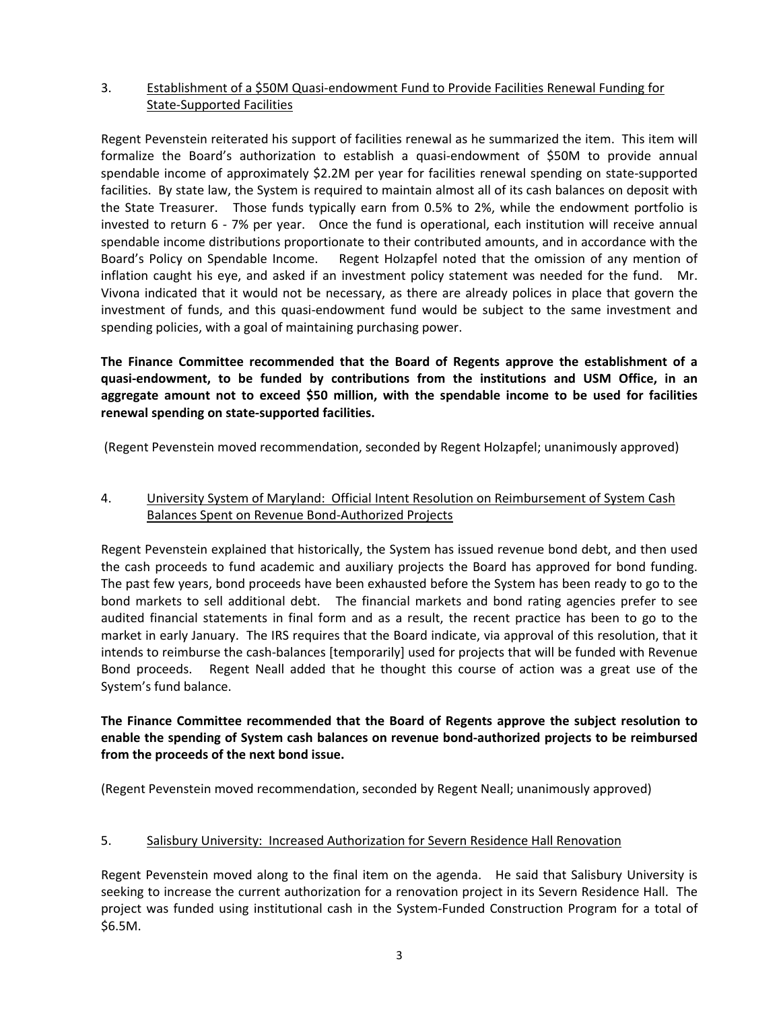## 3. Establishment of a \$50M Quasi‐endowment Fund to Provide Facilities Renewal Funding for State‐Supported Facilities

Regent Pevenstein reiterated his support of facilities renewal as he summarized the item. This item will formalize the Board's authorization to establish a quasi-endowment of \$50M to provide annual spendable income of approximately \$2.2M per year for facilities renewal spending on state-supported facilities. By state law, the System is required to maintain almost all of its cash balances on deposit with the State Treasurer. Those funds typically earn from 0.5% to 2%, while the endowment portfolio is invested to return 6 - 7% per year. Once the fund is operational, each institution will receive annual spendable income distributions proportionate to their contributed amounts, and in accordance with the Board's Policy on Spendable Income. Regent Holzapfel noted that the omission of any mention of inflation caught his eye, and asked if an investment policy statement was needed for the fund. Mr. Vivona indicated that it would not be necessary, as there are already polices in place that govern the investment of funds, and this quasi-endowment fund would be subject to the same investment and spending policies, with a goal of maintaining purchasing power.

**The Finance Committee recommended that the Board of Regents approve the establishment of a quasi‐endowment, to be funded by contributions from the institutions and USM Office, in an aggregate amount not to exceed \$50 million, with the spendable income to be used for facilities renewal spending on state‐supported facilities.**

(Regent Pevenstein moved recommendation, seconded by Regent Holzapfel; unanimously approved)

# 4. University System of Maryland: Official Intent Resolution on Reimbursement of System Cash Balances Spent on Revenue Bond‐Authorized Projects

Regent Pevenstein explained that historically, the System has issued revenue bond debt, and then used the cash proceeds to fund academic and auxiliary projects the Board has approved for bond funding. The past few years, bond proceeds have been exhausted before the System has been ready to go to the bond markets to sell additional debt. The financial markets and bond rating agencies prefer to see audited financial statements in final form and as a result, the recent practice has been to go to the market in early January. The IRS requires that the Board indicate, via approval of this resolution, that it intends to reimburse the cash-balances [temporarily] used for projects that will be funded with Revenue Bond proceeds. Regent Neall added that he thought this course of action was a great use of the System's fund balance.

**The Finance Committee recommended that the Board of Regents approve the subject resolution to enable the spending of System cash balances on revenue bond‐authorized projects to be reimbursed from the proceeds of the next bond issue.**

(Regent Pevenstein moved recommendation, seconded by Regent Neall; unanimously approved)

#### 5. Salisbury University: Increased Authorization for Severn Residence Hall Renovation

Regent Pevenstein moved along to the final item on the agenda. He said that Salisbury University is seeking to increase the current authorization for a renovation project in its Severn Residence Hall. The project was funded using institutional cash in the System‐Funded Construction Program for a total of \$6.5M.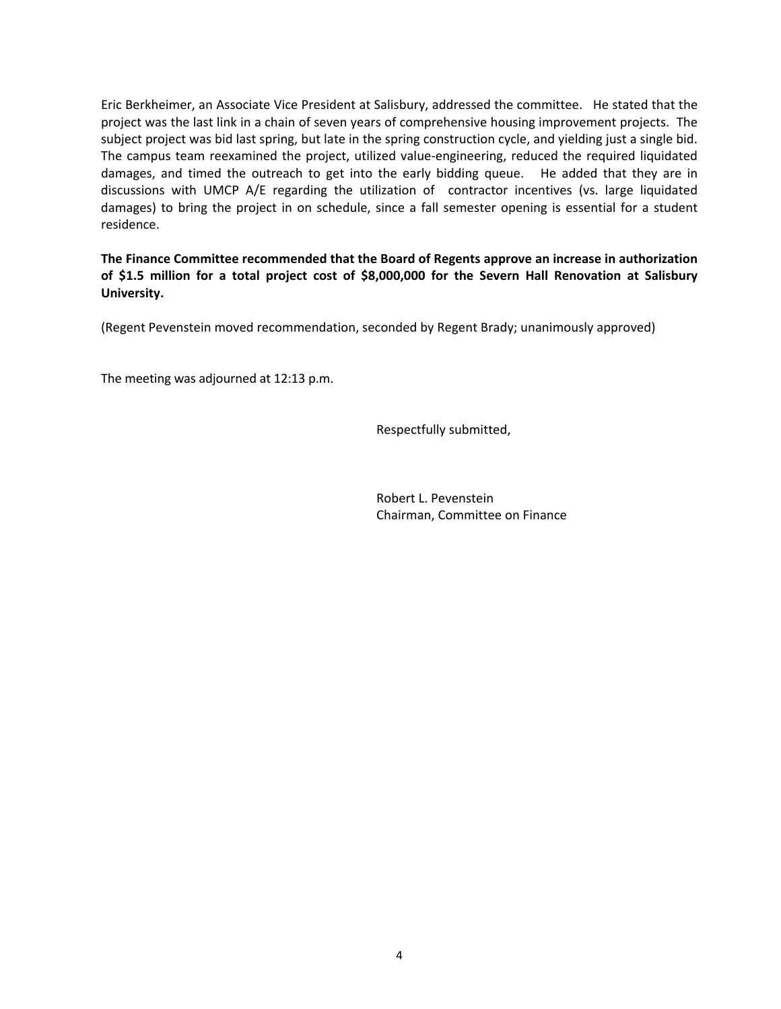Eric Berkheimer, an Associate Vice President at Salisbury, addressed the committee. He stated that the project was the last link in a chain of seven years of comprehensive housing improvement projects. The subject project was bid last spring, but late in the spring construction cycle, and yielding just a single bid. The campus team reexamined the project, utilized value‐engineering, reduced the required liquidated damages, and timed the outreach to get into the early bidding queue. He added that they are in discussions with UMCP A/E regarding the utilization of contractor incentives (vs. large liquidated damages) to bring the project in on schedule, since a fall semester opening is essential for a student residence.

**The Finance Committee recommended that the Board of Regents approve an increase in authorization of \$1.5 million for a total project cost of \$8,000,000 for the Severn Hall Renovation at Salisbury University.**

(Regent Pevenstein moved recommendation, seconded by Regent Brady; unanimously approved)

The meeting was adjourned at 12:13 p.m.

Respectfully submitted,

 Robert L. Pevenstein Chairman, Committee on Finance